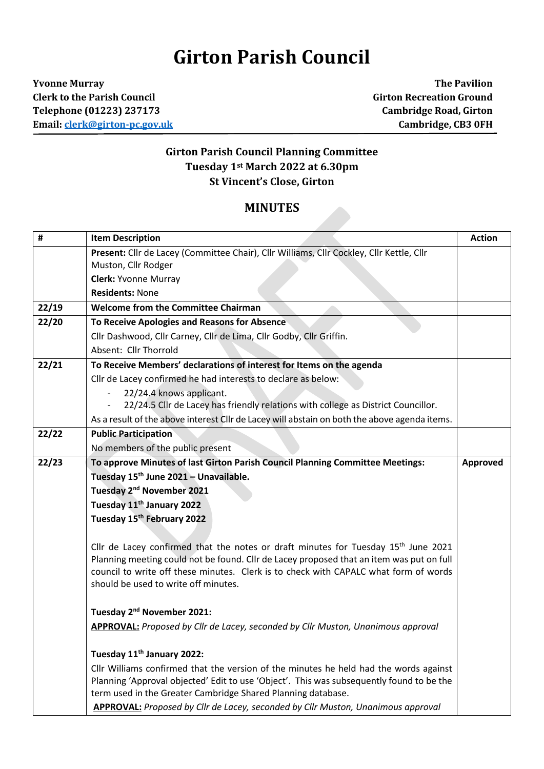## **Girton Parish Council**

**Yvonne Murray The Pavilion Clerk to the Parish Council Girton Recreation Ground Telephone (01223) 237173 Cambridge Road, Girton Email[: clerk@girton-pc.gov.uk](mailto:clerk@girton-pc.gov.uk) Cambridge, CB3 0FH**

## **Girton Parish Council Planning Committee Tuesday 1st March 2022 at 6.30pm St Vincent's Close, Girton**

## **MINUTES**

| #     | <b>Item Description</b>                                                                                                                                                                                                                                                                                          | <b>Action</b> |
|-------|------------------------------------------------------------------------------------------------------------------------------------------------------------------------------------------------------------------------------------------------------------------------------------------------------------------|---------------|
|       | Present: Cllr de Lacey (Committee Chair), Cllr Williams, Cllr Cockley, Cllr Kettle, Cllr                                                                                                                                                                                                                         |               |
|       | Muston, Cllr Rodger                                                                                                                                                                                                                                                                                              |               |
|       | <b>Clerk: Yvonne Murray</b>                                                                                                                                                                                                                                                                                      |               |
|       | <b>Residents: None</b>                                                                                                                                                                                                                                                                                           |               |
| 22/19 | <b>Welcome from the Committee Chairman</b>                                                                                                                                                                                                                                                                       |               |
| 22/20 | To Receive Apologies and Reasons for Absence                                                                                                                                                                                                                                                                     |               |
|       | Cllr Dashwood, Cllr Carney, Cllr de Lima, Cllr Godby, Cllr Griffin.                                                                                                                                                                                                                                              |               |
|       | Absent: Cllr Thorrold                                                                                                                                                                                                                                                                                            |               |
| 22/21 | To Receive Members' declarations of interest for Items on the agenda                                                                                                                                                                                                                                             |               |
|       | Cllr de Lacey confirmed he had interests to declare as below:                                                                                                                                                                                                                                                    |               |
|       | 22/24.4 knows applicant.                                                                                                                                                                                                                                                                                         |               |
|       | 22/24.5 Cllr de Lacey has friendly relations with college as District Councillor.                                                                                                                                                                                                                                |               |
|       | As a result of the above interest Cllr de Lacey will abstain on both the above agenda items.                                                                                                                                                                                                                     |               |
| 22/22 | <b>Public Participation</b>                                                                                                                                                                                                                                                                                      |               |
|       | No members of the public present                                                                                                                                                                                                                                                                                 |               |
| 22/23 | To approve Minutes of last Girton Parish Council Planning Committee Meetings:                                                                                                                                                                                                                                    | Approved      |
|       | Tuesday 15 <sup>th</sup> June 2021 - Unavailable.                                                                                                                                                                                                                                                                |               |
|       | Tuesday 2 <sup>nd</sup> November 2021                                                                                                                                                                                                                                                                            |               |
|       | Tuesday 11 <sup>th</sup> January 2022                                                                                                                                                                                                                                                                            |               |
|       | Tuesday 15th February 2022                                                                                                                                                                                                                                                                                       |               |
|       | Cllr de Lacey confirmed that the notes or draft minutes for Tuesday $15th$ June 2021<br>Planning meeting could not be found. Cllr de Lacey proposed that an item was put on full<br>council to write off these minutes. Clerk is to check with CAPALC what form of words<br>should be used to write off minutes. |               |
|       | Tuesday 2 <sup>nd</sup> November 2021:                                                                                                                                                                                                                                                                           |               |
|       | <b>APPROVAL:</b> Proposed by Cllr de Lacey, seconded by Cllr Muston, Unanimous approval                                                                                                                                                                                                                          |               |
|       | Tuesday 11 <sup>th</sup> January 2022:                                                                                                                                                                                                                                                                           |               |
|       | Cllr Williams confirmed that the version of the minutes he held had the words against<br>Planning 'Approval objected' Edit to use 'Object'. This was subsequently found to be the<br>term used in the Greater Cambridge Shared Planning database.                                                                |               |
|       | APPROVAL: Proposed by Cllr de Lacey, seconded by Cllr Muston, Unanimous approval                                                                                                                                                                                                                                 |               |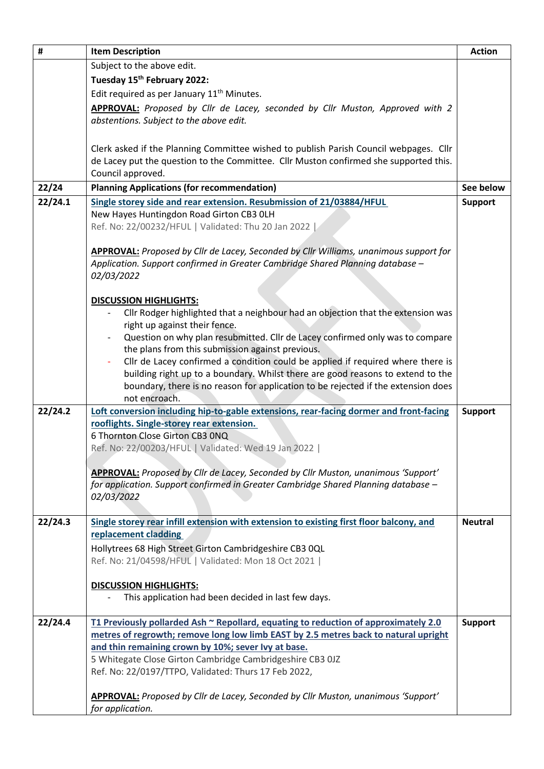| $\pmb{\sharp}$ | <b>Item Description</b>                                                                                                                                              | <b>Action</b>  |
|----------------|----------------------------------------------------------------------------------------------------------------------------------------------------------------------|----------------|
|                | Subject to the above edit.                                                                                                                                           |                |
|                | Tuesday 15th February 2022:                                                                                                                                          |                |
|                | Edit required as per January 11 <sup>th</sup> Minutes.                                                                                                               |                |
|                | APPROVAL: Proposed by Cllr de Lacey, seconded by Cllr Muston, Approved with 2                                                                                        |                |
|                | abstentions. Subject to the above edit.                                                                                                                              |                |
|                |                                                                                                                                                                      |                |
|                | Clerk asked if the Planning Committee wished to publish Parish Council webpages. Cllr                                                                                |                |
|                | de Lacey put the question to the Committee. Cllr Muston confirmed she supported this.                                                                                |                |
|                | Council approved.                                                                                                                                                    |                |
| 22/24          | <b>Planning Applications (for recommendation)</b>                                                                                                                    | See below      |
| 22/24.1        | Single storey side and rear extension. Resubmission of 21/03884/HFUL                                                                                                 | <b>Support</b> |
|                | New Hayes Huntingdon Road Girton CB3 OLH                                                                                                                             |                |
|                | Ref. No: 22/00232/HFUL   Validated: Thu 20 Jan 2022                                                                                                                  |                |
|                |                                                                                                                                                                      |                |
|                | APPROVAL: Proposed by Cllr de Lacey, Seconded by Cllr Williams, unanimous support for                                                                                |                |
|                | Application. Support confirmed in Greater Cambridge Shared Planning database -                                                                                       |                |
|                | 02/03/2022                                                                                                                                                           |                |
|                |                                                                                                                                                                      |                |
|                | <b>DISCUSSION HIGHLIGHTS:</b>                                                                                                                                        |                |
|                | Cllr Rodger highlighted that a neighbour had an objection that the extension was                                                                                     |                |
|                | right up against their fence.                                                                                                                                        |                |
|                | Question on why plan resubmitted. Cllr de Lacey confirmed only was to compare                                                                                        |                |
|                | the plans from this submission against previous.                                                                                                                     |                |
|                | Cllr de Lacey confirmed a condition could be applied if required where there is                                                                                      |                |
|                | building right up to a boundary. Whilst there are good reasons to extend to the<br>boundary, there is no reason for application to be rejected if the extension does |                |
|                | not encroach.                                                                                                                                                        |                |
| 22/24.2        | Loft conversion including hip-to-gable extensions, rear-facing dormer and front-facing                                                                               | <b>Support</b> |
|                | rooflights. Single-storey rear extension.                                                                                                                            |                |
|                | 6 Thornton Close Girton CB3 0NQ                                                                                                                                      |                |
|                | Ref. No: 22/00203/HFUL   Validated: Wed 19 Jan 2022                                                                                                                  |                |
|                |                                                                                                                                                                      |                |
|                | APPROVAL: Proposed by Cllr de Lacey, Seconded by Cllr Muston, unanimous 'Support'                                                                                    |                |
|                | for application. Support confirmed in Greater Cambridge Shared Planning database -                                                                                   |                |
|                | 02/03/2022                                                                                                                                                           |                |
|                |                                                                                                                                                                      |                |
| 22/24.3        | Single storey rear infill extension with extension to existing first floor balcony, and                                                                              | <b>Neutral</b> |
|                | replacement cladding                                                                                                                                                 |                |
|                | Hollytrees 68 High Street Girton Cambridgeshire CB3 0QL                                                                                                              |                |
|                | Ref. No: 21/04598/HFUL   Validated: Mon 18 Oct 2021                                                                                                                  |                |
|                | <b>DISCUSSION HIGHLIGHTS:</b>                                                                                                                                        |                |
|                | This application had been decided in last few days.                                                                                                                  |                |
|                |                                                                                                                                                                      |                |
| 22/24.4        | T1 Previously pollarded Ash ~ Repollard, equating to reduction of approximately 2.0                                                                                  | <b>Support</b> |
|                | metres of regrowth; remove long low limb EAST by 2.5 metres back to natural upright                                                                                  |                |
|                | and thin remaining crown by 10%; sever lvy at base.                                                                                                                  |                |
|                | 5 Whitegate Close Girton Cambridge Cambridgeshire CB3 0JZ                                                                                                            |                |
|                | Ref. No: 22/0197/TTPO, Validated: Thurs 17 Feb 2022,                                                                                                                 |                |
|                |                                                                                                                                                                      |                |
|                | APPROVAL: Proposed by Cllr de Lacey, Seconded by Cllr Muston, unanimous 'Support'                                                                                    |                |
|                | for application.                                                                                                                                                     |                |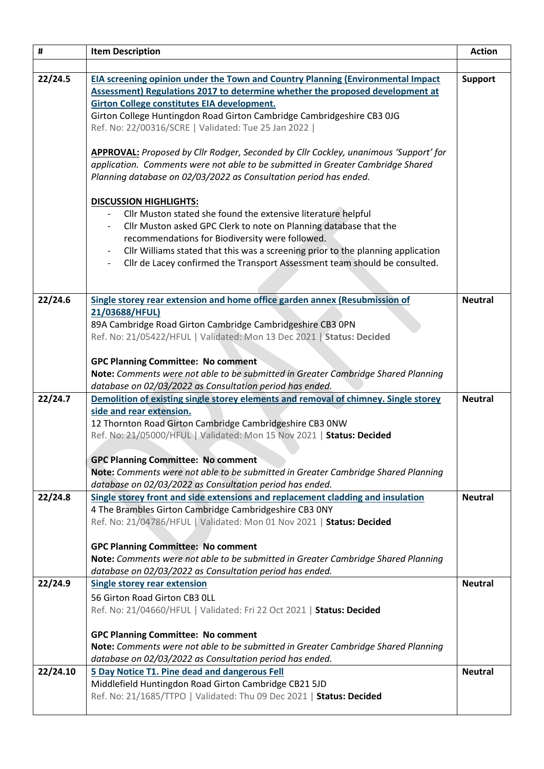| #        | <b>Item Description</b>                                                                                                                                                        | <b>Action</b>  |
|----------|--------------------------------------------------------------------------------------------------------------------------------------------------------------------------------|----------------|
|          |                                                                                                                                                                                |                |
| 22/24.5  | EIA screening opinion under the Town and Country Planning (Environmental Impact                                                                                                | <b>Support</b> |
|          | Assessment) Regulations 2017 to determine whether the proposed development at                                                                                                  |                |
|          | <b>Girton College constitutes EIA development.</b>                                                                                                                             |                |
|          | Girton College Huntingdon Road Girton Cambridge Cambridgeshire CB3 0JG                                                                                                         |                |
|          | Ref. No: 22/00316/SCRE   Validated: Tue 25 Jan 2022                                                                                                                            |                |
|          |                                                                                                                                                                                |                |
|          | <b>APPROVAL:</b> Proposed by Cllr Rodger, Seconded by Cllr Cockley, unanimous 'Support' for<br>application. Comments were not able to be submitted in Greater Cambridge Shared |                |
|          | Planning database on 02/03/2022 as Consultation period has ended.                                                                                                              |                |
|          |                                                                                                                                                                                |                |
|          | <b>DISCUSSION HIGHLIGHTS:</b>                                                                                                                                                  |                |
|          | Cllr Muston stated she found the extensive literature helpful                                                                                                                  |                |
|          | Cllr Muston asked GPC Clerk to note on Planning database that the                                                                                                              |                |
|          | recommendations for Biodiversity were followed.                                                                                                                                |                |
|          | Cllr Williams stated that this was a screening prior to the planning application                                                                                               |                |
|          | Cllr de Lacey confirmed the Transport Assessment team should be consulted.<br>$\overline{\phantom{a}}$                                                                         |                |
|          |                                                                                                                                                                                |                |
| 22/24.6  | Single storey rear extension and home office garden annex (Resubmission of                                                                                                     | <b>Neutral</b> |
|          | 21/03688/HFUL)                                                                                                                                                                 |                |
|          | 89A Cambridge Road Girton Cambridge Cambridgeshire CB3 OPN                                                                                                                     |                |
|          | Ref. No: 21/05422/HFUL   Validated: Mon 13 Dec 2021   Status: Decided                                                                                                          |                |
|          | <b>GPC Planning Committee: No comment</b>                                                                                                                                      |                |
|          | Note: Comments were not able to be submitted in Greater Cambridge Shared Planning                                                                                              |                |
|          | database on 02/03/2022 as Consultation period has ended.                                                                                                                       |                |
| 22/24.7  | Demolition of existing single storey elements and removal of chimney. Single storey                                                                                            | <b>Neutral</b> |
|          | side and rear extension.                                                                                                                                                       |                |
|          | 12 Thornton Road Girton Cambridge Cambridgeshire CB3 0NW                                                                                                                       |                |
|          | Ref. No: 21/05000/HFUL   Validated: Mon 15 Nov 2021   Status: Decided                                                                                                          |                |
|          |                                                                                                                                                                                |                |
|          | <b>GPC Planning Committee: No comment</b><br>Note: Comments were not able to be submitted in Greater Cambridge Shared Planning                                                 |                |
|          | database on 02/03/2022 as Consultation period has ended.                                                                                                                       |                |
| 22/24.8  | Single storey front and side extensions and replacement cladding and insulation                                                                                                | <b>Neutral</b> |
|          | 4 The Brambles Girton Cambridge Cambridgeshire CB3 ONY                                                                                                                         |                |
|          | Ref. No: 21/04786/HFUL   Validated: Mon 01 Nov 2021   Status: Decided                                                                                                          |                |
|          |                                                                                                                                                                                |                |
|          | <b>GPC Planning Committee: No comment</b>                                                                                                                                      |                |
|          | Note: Comments were not able to be submitted in Greater Cambridge Shared Planning                                                                                              |                |
|          | database on 02/03/2022 as Consultation period has ended.                                                                                                                       |                |
| 22/24.9  | <b>Single storey rear extension</b>                                                                                                                                            | <b>Neutral</b> |
|          | 56 Girton Road Girton CB3 OLL<br>Ref. No: 21/04660/HFUL   Validated: Fri 22 Oct 2021   Status: Decided                                                                         |                |
|          |                                                                                                                                                                                |                |
|          | <b>GPC Planning Committee: No comment</b>                                                                                                                                      |                |
|          | Note: Comments were not able to be submitted in Greater Cambridge Shared Planning                                                                                              |                |
|          | database on 02/03/2022 as Consultation period has ended.                                                                                                                       |                |
| 22/24.10 | 5 Day Notice T1. Pine dead and dangerous Fell                                                                                                                                  | <b>Neutral</b> |
|          | Middlefield Huntingdon Road Girton Cambridge CB21 5JD                                                                                                                          |                |
|          | Ref. No: 21/1685/TTPO   Validated: Thu 09 Dec 2021   Status: Decided                                                                                                           |                |
|          |                                                                                                                                                                                |                |